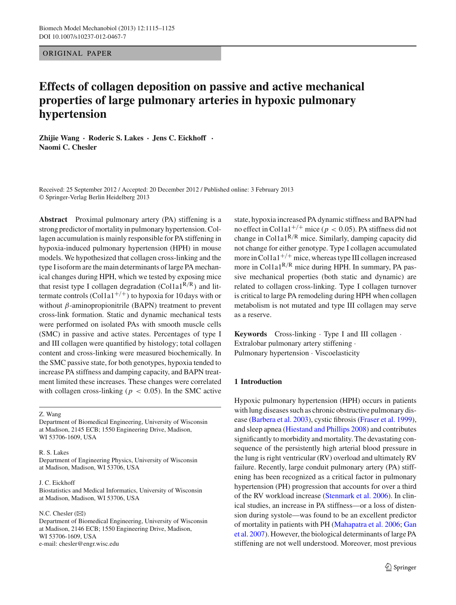ORIGINAL PAPER

# **Effects of collagen deposition on passive and active mechanical properties of large pulmonary arteries in hypoxic pulmonary hypertension**

**Zhijie Wang · Roderic S. Lakes · Jens C. Eickhoff · Naomi C. Chesler**

Received: 25 September 2012 / Accepted: 20 December 2012 / Published online: 3 February 2013 © Springer-Verlag Berlin Heidelberg 2013

**Abstract** Proximal pulmonary artery (PA) stiffening is a strong predictor of mortality in pulmonary hypertension. Collagen accumulation is mainly responsible for PA stiffening in hypoxia-induced pulmonary hypertension (HPH) in mouse models. We hypothesized that collagen cross-linking and the type I isoform are the main determinants of large PA mechanical changes during HPH, which we tested by exposing mice that resist type I collagen degradation (Col1a1<sup>R/R</sup>) and littermate controls (Col1a1<sup>+/+</sup>) to hypoxia for 10 days with or without  $\beta$ -aminopropionitrile (BAPN) treatment to prevent cross-link formation. Static and dynamic mechanical tests were performed on isolated PAs with smooth muscle cells (SMC) in passive and active states. Percentages of type I and III collagen were quantified by histology; total collagen content and cross-linking were measured biochemically. In the SMC passive state, for both genotypes, hypoxia tended to increase PA stiffness and damping capacity, and BAPN treatment limited these increases. These changes were correlated with collagen cross-linking ( $p < 0.05$ ). In the SMC active

Z. Wang

Department of Biomedical Engineering, University of Wisconsin at Madison, 2145 ECB; 1550 Engineering Drive, Madison, WI 53706-1609, USA

#### R. S. Lakes

Department of Engineering Physics, University of Wisconsin at Madison, Madison, WI 53706, USA

#### J. C. Eickhoff

Biostatistics and Medical Informatics, University of Wisconsin at Madison, Madison, WI 53706, USA

#### N.C. Chesler  $(\boxtimes)$

Department of Biomedical Engineering, University of Wisconsin at Madison, 2146 ECB; 1550 Engineering Drive, Madison, WI 53706-1609, USA e-mail: chesler@engr.wisc.edu

state, hypoxia increased PA dynamic stiffness and BAPN had no effect in Col1a1<sup>+/+</sup> mice ( $p < 0.05$ ). PA stiffness did not change in Col1a1<sup>R/R</sup> mice. Similarly, damping capacity did not change for either genotype. Type I collagen accumulated more in Colla $1^{+/+}$  mice, whereas type III collagen increased more in Col1a1 $R/R$  mice during HPH. In summary, PA passive mechanical properties (both static and dynamic) are related to collagen cross-linking. Type I collagen turnover is critical to large PA remodeling during HPH when collagen metabolism is not mutated and type III collagen may serve as a reserve.

**Keywords** Cross-linking · Type I and III collagen · Extralobar pulmonary artery stiffening · Pulmonary hypertension · Viscoelasticity

# **1 Introduction**

Hypoxic pulmonary hypertension (HPH) occurs in patients with lung diseases such as chronic obstructive pulmonary disease [\(Barbera et al. 2003](#page-9-0)), cystic fibrosis [\(Fraser et al. 1999](#page-9-1)), and sleep apnea [\(Hiestand and Phillips 2008\)](#page-9-2) and contributes significantly to morbidity and mortality. The devastating consequence of the persistently high arterial blood pressure in the lung is right ventricular (RV) overload and ultimately RV failure. Recently, large conduit pulmonary artery (PA) stiffening has been recognized as a critical factor in pulmonary hypertension (PH) progression that accounts for over a third of the RV workload increase [\(Stenmark et al. 2006](#page-10-0)). In clinical studies, an increase in PA stiffness—or a loss of distension during systole—was found to be an excellent predictor of m[ortality](#page-9-4) [in](#page-9-4) [patients](#page-9-4) [with](#page-9-4) [PH](#page-9-4) [\(Mahapatra et al. 2006](#page-9-3)[;](#page-9-4) Gan et al. [2007](#page-9-4)). However, the biological determinants of large PA stiffening are not well understood. Moreover, most previous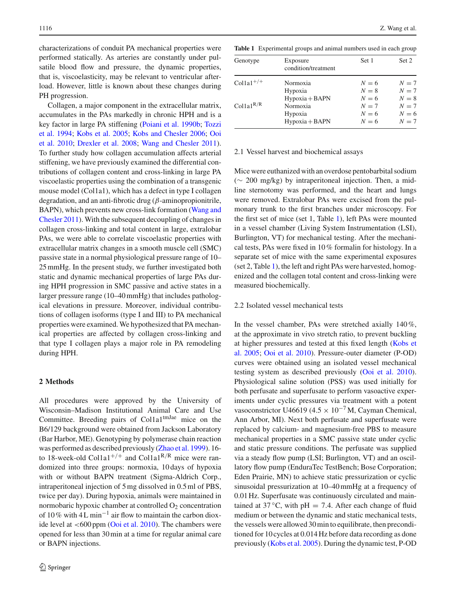characterizations of conduit PA mechanical properties were performed statically. As arteries are constantly under pulsatile blood flow and pressure, the dynamic properties, that is, viscoelasticity, may be relevant to ventricular afterload. However, little is known about these changes during PH progression.

Collagen, a major component in the extracellular matrix, accumulates in the PAs markedly in chronic HPH and is a key [factor](#page-10-2) [in](#page-10-2) [large](#page-10-2) [PA](#page-10-2) [stiffening](#page-10-2) [\(Poiani et al. 1990b;](#page-10-1) Tozzi et al. [1994](#page-10-2); [Kobs et al. 2005](#page-9-5); [Kobs and Chesler 2006](#page-9-6)[;](#page-10-3) Ooi et al. [2010;](#page-10-3) [Drexler et al. 2008;](#page-9-7) [Wang and Chesler 2011](#page-10-4)). To further study how collagen accumulation affects arterial stiffening, we have previously examined the differential contributions of collagen content and cross-linking in large PA viscoelastic properties using the combination of a transgenic mouse model (Col1a1), which has a defect in type I collagen degradation, and an anti-fibrotic drug  $(\beta$ -aminopropionitrile, BAPN)[,](#page-10-4) [which](#page-10-4) [prevents](#page-10-4) [new](#page-10-4) [cross-link](#page-10-4) [formation](#page-10-4) [\(](#page-10-4)Wang and Chesler [2011](#page-10-4)). With the subsequent decoupling of changes in collagen cross-linking and total content in large, extralobar PAs, we were able to correlate viscoelastic properties with extracellular matrix changes in a smooth muscle cell (SMC) passive state in a normal physiological pressure range of 10– 25 mmHg. In the present study, we further investigated both static and dynamic mechanical properties of large PAs during HPH progression in SMC passive and active states in a larger pressure range (10–40 mmHg) that includes pathological elevations in pressure. Moreover, individual contributions of collagen isoforms (type I and III) to PA mechanical properties were examined. We hypothesized that PA mechanical properties are affected by collagen cross-linking and that type I collagen plays a major role in PA remodeling during HPH.

# **2 Methods**

All procedures were approved by the University of Wisconsin–Madison Institutional Animal Care and Use Committee. Breeding pairs of  $Collal<sup>tmJae</sup>$  mice on the B6/129 background were obtained from Jackson Laboratory (Bar Harbor, ME). Genotyping by polymerase chain reaction was performed as described previously [\(Zhao et al. 1999\)](#page-10-5). 16 to 18-week-old Col1a1<sup>+/+</sup> and Col1a1<sup>R/R</sup> mice were randomized into three groups: normoxia, 10 days of hypoxia with or without BAPN treatment (Sigma-Aldrich Corp., intraperitoneal injection of 5 mg dissolved in 0.5 ml of PBS, twice per day). During hypoxia, animals were maintained in normobaric hypoxic chamber at controlled  $O<sub>2</sub>$  concentration of 10 % with 4 L min<sup>-1</sup> air flow to maintain the carbon dioxide level at  $<600$  ppm [\(Ooi et al. 2010](#page-10-3)). The chambers were opened for less than 30 min at a time for regular animal care or BAPN injections.

<span id="page-1-0"></span>**Table 1** Experimental groups and animal numbers used in each group

| Genotype              | Exposure<br>condition/treatment | Set 1 | Set 2 |
|-----------------------|---------------------------------|-------|-------|
| $Colla1^{+/+}$        | Normoxia                        | $N=6$ | $N=7$ |
|                       | Hypoxia                         | $N=8$ | $N=7$ |
|                       | $Hypoxia + BAPN$                | $N=6$ | $N=8$ |
| Collal <sup>R/R</sup> | Normoxia                        | $N=7$ | $N=7$ |
|                       | Hypoxia                         | $N=6$ | $N=6$ |
|                       | $Hypoxia + BAPN$                | $N=6$ | $N=7$ |

## 2.1 Vessel harvest and biochemical assays

Mice were euthanized with an overdose pentobarbital sodium (∼ 200 mg/kg) by intraperitoneal injection. Then, a midline sternotomy was performed, and the heart and lungs were removed. Extralobar PAs were excised from the pulmonary trunk to the first branches under microscopy. For the first set of mice (set 1, Table [1\)](#page-1-0), left PAs were mounted in a vessel chamber (Living System Instrumentation (LSI), Burlington, VT) for mechanical testing. After the mechanical tests, PAs were fixed in 10 % formalin for histology. In a separate set of mice with the same experimental exposures (set 2, Table [1\)](#page-1-0), the left and right PAs were harvested, homogenized and the collagen total content and cross-linking were measured biochemically.

### 2.2 Isolated vessel mechanical tests

In the vessel chamber, PAs were stretched axially 140 %, at the approximate in vivo stretch ratio, to prevent buckling at [higher](#page-9-5) [pressures](#page-9-5) [and](#page-9-5) [tested](#page-9-5) [at](#page-9-5) [this](#page-9-5) [fixed](#page-9-5) [length](#page-9-5) [\(](#page-9-5)Kobs et al. [2005;](#page-9-5) [Ooi et al. 2010](#page-10-3)). Pressure-outer diameter (P-OD) curves were obtained using an isolated vessel mechanical testing system as described previously [\(Ooi et al. 2010](#page-10-3)). Physiological saline solution (PSS) was used initially for both perfusate and superfusate to perform vasoactive experiments under cyclic pressures via treatment with a potent vasoconstrictor U46619 (4.5  $\times$  10<sup>-7</sup> M, Cayman Chemical, Ann Arbor, MI). Next both perfusate and superfusate were replaced by calcium- and magnesium-free PBS to measure mechanical properties in a SMC passive state under cyclic and static pressure conditions. The perfusate was supplied via a steady flow pump (LSI; Burlington, VT) and an oscillatory flow pump (EnduraTec TestBench; Bose Corporation; Eden Prairie, MN) to achieve static pressurization or cyclic sinusoidal pressurization at 10–40 mmHg at a frequency of 0.01 Hz. Superfusate was continuously circulated and maintained at  $37^{\circ}$ C, with pH = 7.4. After each change of fluid medium or between the dynamic and static mechanical tests, the vessels were allowed 30 min to equilibrate, then preconditioned for 10 cycles at 0.014 Hz before data recording as done previously [\(Kobs et al. 2005\)](#page-9-5). During the dynamic test, P-OD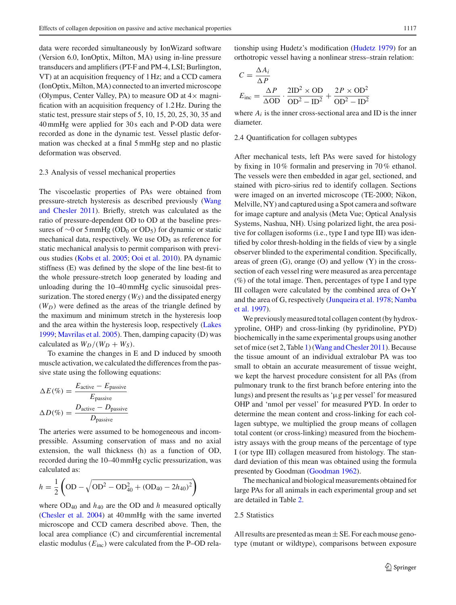data were recorded simultaneously by IonWizard software (Version 6.0, IonOptix, Milton, MA) using in-line pressure transducers and amplifiers (PT-F and PM-4, LSI; Burlington, VT) at an acquisition frequency of 1 Hz; and a CCD camera (IonOptix, Milton, MA) connected to an inverted microscope (Olympus, Center Valley, PA) to measure OD at  $4\times$  magnification with an acquisition frequency of 1.2 Hz. During the static test, pressure stair steps of 5, 10, 15, 20, 25, 30, 35 and 40 mmHg were applied for 30 s each and P-OD data were recorded as done in the dynamic test. Vessel plastic deformation was checked at a final 5 mmHg step and no plastic deformation was observed.

### 2.3 Analysis of vessel mechanical properties

The viscoelastic properties of PAs were obtained from pressure-str[etch](#page-10-4) [hysteresis](#page-10-4) [as](#page-10-4) [described](#page-10-4) [previously](#page-10-4) [\(](#page-10-4)Wang and Chesler [2011\)](#page-10-4). Briefly, stretch was calculated as the ratio of pressure-dependent OD to OD at the baseline pressures of  $\sim$ 0 or 5 mmHg (OD<sub>0</sub> or OD<sub>5</sub>) for dynamic or static mechanical data, respectively. We use  $OD<sub>5</sub>$  as reference for static mechanical analysis to permit comparison with previous studies [\(Kobs et al. 2005;](#page-9-5) [Ooi et al. 2010\)](#page-10-3). PA dynamic stiffness (E) was defined by the slope of the line best-fit to the whole pressure-stretch loop generated by loading and unloading during the 10–40 mmHg cyclic sinusoidal pressurization. The stored energy  $(W<sub>S</sub>)$  and the dissipated energy  $(W_D)$  were defined as the areas of the triangle defined by the maximum and minimum stretch in the hysteresis loop and the area within the hysteresis loop, respectively [\(Lakes](#page-9-8) [1999;](#page-9-8) [Mavrilas et al. 2005](#page-9-9)). Then, damping capacity (D) was calculated as  $W_D/(W_D + W_S)$ .

To examine the changes in E and D induced by smooth muscle activation, we calculated the differences from the passive state using the following equations:

$$
\Delta E(\%) = \frac{E_{\text{active}} - E_{\text{passive}}}{E_{\text{passive}}}
$$

$$
\Delta D(\%) = \frac{D_{\text{active}} - D_{\text{passive}}}{D_{\text{passive}}}
$$

The arteries were assumed to be homogeneous and incompressible. Assuming conservation of mass and no axial extension, the wall thickness (h) as a function of OD, recorded during the 10–40 mmHg cyclic pressurization, was calculated as:

$$
h = \frac{1}{2} \left( \text{OD} - \sqrt{\text{OD}^2 - \text{OD}_{40}^2 + (\text{OD}_{40} - 2h_{40})^2} \right)
$$

where  $OD_{40}$  and  $h_{40}$  are the OD and *h* measured optically [\(Chesler et al. 2004](#page-9-10)) at 40 mmHg with the same inverted microscope and CCD camera described above. Then, the local area compliance (C) and circumferential incremental elastic modulus  $(E_{inc})$  were calculated from the P–OD rela-

tionship using Hudetz's modification [\(Hudetz 1979\)](#page-9-11) for an orthotropic vessel having a nonlinear stress–strain relation:

$$
C = \frac{\Delta A_i}{\Delta P}
$$
  
\n
$$
E_{\text{inc}} = \frac{\Delta P}{\Delta \text{OD}} \cdot \frac{2 \text{ID}^2 \times \text{OD}}{\text{OD}^2 - \text{ID}^2} + \frac{2P \times \text{OD}^2}{\text{OD}^2 - \text{ID}^2}
$$

where  $A_i$  is the inner cross-sectional area and ID is the inner diameter.

#### 2.4 Quantification for collagen subtypes

After mechanical tests, left PAs were saved for histology by fixing in 10 % formalin and preserving in 70 % ethanol. The vessels were then embedded in agar gel, sectioned, and stained with picro-sirius red to identify collagen. Sections were imaged on an inverted microscope (TE-2000; Nikon, Melville, NY) and captured using a Spot camera and software for image capture and analysis (Meta Vue; Optical Analysis Systems, Nashua, NH). Using polarized light, the area positive for collagen isoforms (i.e., type I and type III) was identified by color thresh-holding in the fields of view by a single observer blinded to the experimental condition. Specifically, areas of green  $(G)$ , orange  $(O)$  and yellow  $(Y)$  in the crosssection of each vessel ring were measured as area percentage  $(\%)$  of the total image. Then, percentages of type I and type III collagen were calculated by the combined area of O+Y and t[he](#page-9-13) [area](#page-9-13) [of](#page-9-13) [G,](#page-9-13) [respectively](#page-9-13) [\(Junqueira et al. 1978](#page-9-12)[;](#page-9-13) Namba et al. [1997\)](#page-9-13).

We previously measured total collagen content (by hydroxyproline, OHP) and cross-linking (by pyridinoline, PYD) biochemically in the same experimental groups using another set of mice (set 2, Table [1\)](#page-1-0) [\(Wang and Chesler 2011\)](#page-10-4). Because the tissue amount of an individual extralobar PA was too small to obtain an accurate measurement of tissue weight, we kept the harvest procedure consistent for all PAs (from pulmonary trunk to the first branch before entering into the lungs) and present the results as 'µg per vessel' for measured OHP and 'nmol per vessel' for measured PYD. In order to determine the mean content and cross-linking for each collagen subtype, we multiplied the group means of collagen total content (or cross-linking) measured from the biochemistry assays with the group means of the percentage of type I (or type III) collagen measured from histology. The standard deviation of this mean was obtained using the formula presented by Goodman [\(Goodman 1962](#page-9-14)).

The mechanical and biological measurements obtained for large PAs for all animals in each experimental group and set are detailed in Table [2.](#page-3-0)

## 2.5 Statistics

All results are presented as mean  $\pm$  SE. For each mouse genotype (mutant or wildtype), comparisons between exposure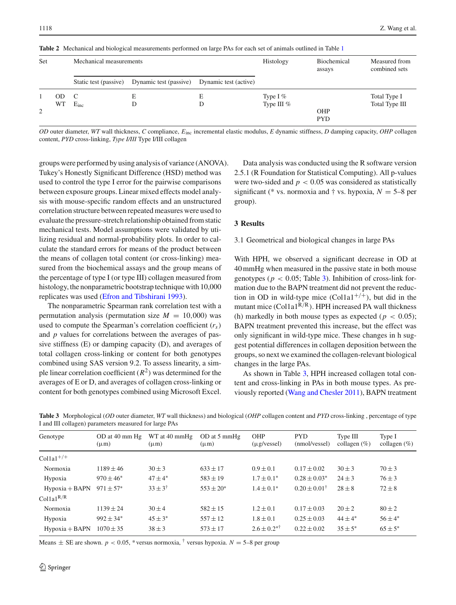<span id="page-3-0"></span>

| Set |           | Mechanical measurements |                        |                       | Histology                   | Biochemical<br>assays | Measured from<br>combined sets |
|-----|-----------|-------------------------|------------------------|-----------------------|-----------------------------|-----------------------|--------------------------------|
|     |           | Static test (passive)   | Dynamic test (passive) | Dynamic test (active) |                             |                       |                                |
| 2   | OD.<br>WT | C<br>$E_{inc}$          | E<br>D                 | E<br>D                | Type I $%$<br>Type III $\%$ | OHP<br><b>PYD</b>     | Total Type I<br>Total Type III |

**Table 2** Mechanical and biological measurements performed on large PAs for each set of animals outlined in Table [1](#page-1-0)

*OD* outer diameter, *WT* wall thickness, *C* compliance, *E*inc incremental elastic modulus, *E* dynamic stiffness, *D* damping capacity, *OHP* collagen content, *PYD* cross-linking, *Type I/III* Type I/III collagen

groups were performed by using analysis of variance (ANOVA). Tukey's Honestly Significant Difference (HSD) method was used to control the type I error for the pairwise comparisons between exposure groups. Linear mixed effects model analysis with mouse-specific random effects and an unstructured correlation structure between repeated measures were used to evaluate the pressure-stretch relationship obtained from static mechanical tests. Model assumptions were validated by utilizing residual and normal-probability plots. In order to calculate the standard errors for means of the product between the means of collagen total content (or cross-linking) measured from the biochemical assays and the group means of the percentage of type I (or type III) collagen measured from histology, the nonparametric bootstrap technique with 10,000 replicates was used [\(Efron and Tibshirani 1993\)](#page-9-15).

The nonparametric Spearman rank correlation test with a permutation analysis (permutation size  $M = 10,000$ ) was used to compute the Spearman's correlation coefficient (*rs*) and *p* values for correlations between the averages of passive stiffness (E) or damping capacity (D), and averages of total collagen cross-linking or content for both genotypes combined using SAS version 9.2. To assess linearity, a simple linear correlation coefficient  $(R^2)$  was determined for the averages of E or D, and averages of collagen cross-linking or content for both genotypes combined using Microsoft Excel.

Data analysis was conducted using the R software version 2.5.1 (R Foundation for Statistical Computing). All p-values were two-sided and  $p < 0.05$  was considered as statistically significant (\* vs. normoxia and † vs. hypoxia,  $N = 5-8$  per group).

# **3 Results**

## 3.1 Geometrical and biological changes in large PAs

With HPH, we observed a significant decrease in OD at 40 mmHg when measured in the passive state in both mouse genotypes ( $p < 0.05$ ; Table [3\)](#page-3-1). Inhibition of cross-link formation due to the BAPN treatment did not prevent the reduction in OD in wild-type mice  $(Col1a1^{+/+})$ , but did in the mutant mice (Col1a1 $R/R$ ). HPH increased PA wall thickness (h) markedly in both mouse types as expected ( $p < 0.05$ ); BAPN treatment prevented this increase, but the effect was only significant in wild-type mice. These changes in h suggest potential differences in collagen deposition between the groups, so next we examined the collagen-relevant biological changes in the large PAs.

As shown in Table [3,](#page-3-1) HPH increased collagen total content and cross-linking in PAs in both mouse types. As previously reported [\(Wang and Chesler 2011](#page-10-4)), BAPN treatment

| Genotype                                  | OD at 40 mm Hg<br>$(\mu m)$ | WT at 40 mmHg<br>$(\mu m)$ | OD at 5 mmHg<br>$(\mu m)$ | <b>OHP</b><br>$(\mu$ g/vessel) | <b>PYD</b><br>(nmol/vessel) | Type III<br>collagen $(\%)$ | Type I<br>collagen $(\%)$ |
|-------------------------------------------|-----------------------------|----------------------------|---------------------------|--------------------------------|-----------------------------|-----------------------------|---------------------------|
| $\mathrm{Colla1}^{+/+}$                   |                             |                            |                           |                                |                             |                             |                           |
| Normoxia                                  | $1189 \pm 46$               | $30 \pm 3$                 | $633 \pm 17$              | $0.9 \pm 0.1$                  | $0.17 \pm 0.02$             | $30 \pm 3$                  | $70 \pm 3$                |
| Hypoxia                                   | $970 \pm 46^*$              | $47 + 4*$                  | $583 \pm 19$              | $1.7 \pm 0.1^*$                | $0.28 \pm 0.03^*$           | $24 \pm 3$                  | $76 \pm 3$                |
| $Hypoxia + BAPN$<br>Collal <sup>R/R</sup> | $971 \pm 57*$               | $33 \pm 3^{\dagger}$       | $553 \pm 20^*$            | $1.4 \pm 0.1^*$                | $0.20 \pm 0.01^{\dagger}$   | $28 \pm 8$                  | $72\pm8$                  |
| Normoxia                                  | $1139 \pm 24$               | $30 \pm 4$                 | $582 \pm 15$              | $1.2 \pm 0.1$                  | $0.17 \pm 0.03$             | $20 \pm 2$                  | $80 \pm 2$                |
| Hypoxia                                   | $992 \pm 34$ <sup>*</sup>   | $45 \pm 3^*$               | $557 \pm 12$              | $1.8 \pm 0.1$                  | $0.25 \pm 0.03$             | $44 \pm 4*$                 | $56 \pm 4*$               |
| $Hypoxia + BAPN$                          | $1070 \pm 35$               | $38 \pm 3$                 | $573 \pm 17$              | $2.6 \pm 0.2^{* \dagger}$      | $0.22 \pm 0.02$             | $35 \pm 5^*$                | $65 \pm 5^*$              |
|                                           |                             |                            |                           |                                |                             |                             |                           |

<span id="page-3-1"></span>**Table 3** Morphological (*OD* outer diameter, *WT* wall thickness) and biological (*OHP* collagen content and *PYD* cross-linking , percentage of type I and III collagen) parameters measured for large PAs

Means  $\pm$  SE are shown.  $p < 0.05$ , \* versus normoxia,  $\dagger$  versus hypoxia.  $N = 5$ –8 per group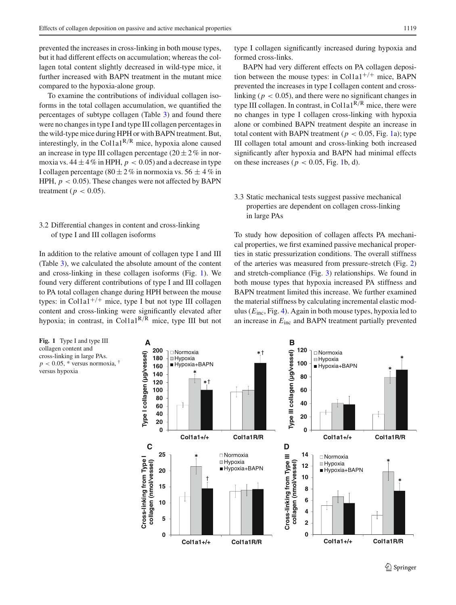prevented the increases in cross-linking in both mouse types, but it had different effects on accumulation; whereas the collagen total content slightly decreased in wild-type mice, it further increased with BAPN treatment in the mutant mice compared to the hypoxia-alone group.

To examine the contributions of individual collagen isoforms in the total collagen accumulation, we quantified the percentages of subtype collagen (Table [3\)](#page-3-1) and found there were no changes in type I and type III collagen percentages in the wild-type mice during HPH or with BAPN treatment. But, interestingly, in the Col1a1<sup>R/R</sup> mice, hypoxia alone caused an increase in type III collagen percentage  $(20 \pm 2\%$  in normoxia vs.  $44 \pm 4\%$  in HPH,  $p < 0.05$ ) and a decrease in type I collagen percentage (80  $\pm$  2 % in normoxia vs. 56  $\pm$  4 % in HPH,  $p < 0.05$ ). These changes were not affected by BAPN treatment ( $p < 0.05$ ).

# 3.2 Differential changes in content and cross-linking of type I and III collagen isoforms

In addition to the relative amount of collagen type I and III (Table [3\)](#page-3-1), we calculated the absolute amount of the content and cross-linking in these collagen isoforms (Fig. [1\)](#page-4-0). We found very different contributions of type I and III collagen to PA total collagen change during HPH between the mouse types: in Col1a1<sup>+/+</sup> mice, type I but not type III collagen content and cross-linking were significantly elevated after hypoxia; in contrast, in Col1a1<sup>R/R</sup> mice, type III but not

type I collagen significantly increased during hypoxia and formed cross-links.

BAPN had very different effects on PA collagen deposition between the mouse types: in Col1a1<sup>+/+</sup> mice, BAPN prevented the increases in type I collagen content and crosslinking ( $p < 0.05$ ), and there were no significant changes in type III collagen. In contrast, in Col1a1<sup>R/R</sup> mice, there were no changes in type I collagen cross-linking with hypoxia alone or combined BAPN treatment despite an increase in total content with BAPN treatment ( $p < 0.05$ , Fig. [1a](#page-4-0)); type III collagen total amount and cross-linking both increased significantly after hypoxia and BAPN had minimal effects on these increases ( $p < 0.05$ , Fig. [1b](#page-4-0), d).

# 3.3 Static mechanical tests suggest passive mechanical properties are dependent on collagen cross-linking in large PAs

To study how deposition of collagen affects PA mechanical properties, we first examined passive mechanical properties in static pressurization conditions. The overall stiffness of the arteries was measured from pressure-stretch (Fig. [2\)](#page-5-0) and stretch-compliance (Fig. [3\)](#page-5-1) relationships. We found in both mouse types that hypoxia increased PA stiffness and BAPN treatment limited this increase. We further examined the material stiffness by calculating incremental elastic modulus (*E*inc, Fig. [4\)](#page-5-2). Again in both mouse types, hypoxia led to an increase in *E*inc and BAPN treatment partially prevented

<span id="page-4-0"></span>**Fig. 1** Type I and type III collagen content and cross-linking in large PAs.  $p < 0.05$ , \* versus normoxia, versus hypoxia

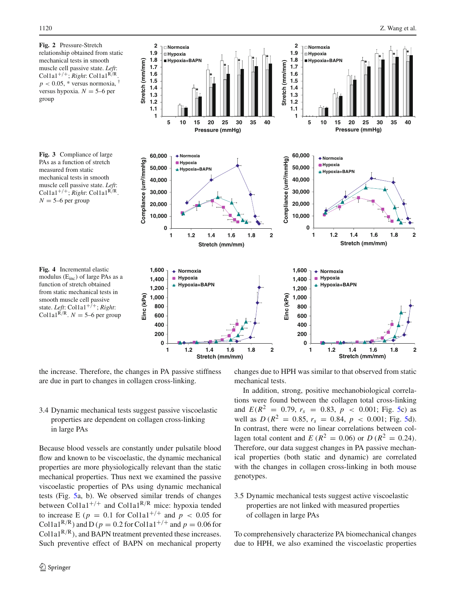<span id="page-5-1"></span><span id="page-5-0"></span>

<span id="page-5-2"></span>the increase. Therefore, the changes in PA passive stiffness are due in part to changes in collagen cross-linking.

# 3.4 Dynamic mechanical tests suggest passive viscoelastic properties are dependent on collagen cross-linking in large PAs

Because blood vessels are constantly under pulsatile blood flow and known to be viscoelastic, the dynamic mechanical properties are more physiologically relevant than the static mechanical properties. Thus next we examined the passive viscoelastic properties of PAs using dynamic mechanical tests (Fig. [5a](#page-6-0), b). We observed similar trends of changes between Col1a1<sup>+/+</sup> and Col1a1<sup>R/R</sup> mice: hypoxia tended to increase E ( $p = 0.1$  for Col1a1<sup>+/+</sup> and  $p < 0.05$  for Col1a1<sup>R/R</sup>) and D ( $p = 0.2$  for Col1a1<sup>+/+</sup> and  $p = 0.06$  for Col1a1 $R/R$ ), and BAPN treatment prevented these increases. Such preventive effect of BAPN on mechanical property changes due to HPH was similar to that observed from static mechanical tests.

In addition, strong, positive mechanobiological correlations were found between the collagen total cross-linking and  $E(R^2 = 0.79, r_s = 0.83, p < 0.001$ ; Fig. [5c](#page-6-0)) as well as  $D (R^2 = 0.85, r_s = 0.84, p < 0.001$ ; Fig. [5d](#page-6-0)). In contrast, there were no linear correlations between collagen total content and *E* ( $R^2 = 0.06$ ) or *D* ( $R^2 = 0.24$ ). Therefore, our data suggest changes in PA passive mechanical properties (both static and dynamic) are correlated with the changes in collagen cross-linking in both mouse genotypes.

# 3.5 Dynamic mechanical tests suggest active viscoelastic properties are not linked with measured properties of collagen in large PAs

To comprehensively characterize PA biomechanical changes due to HPH, we also examined the viscoelastic properties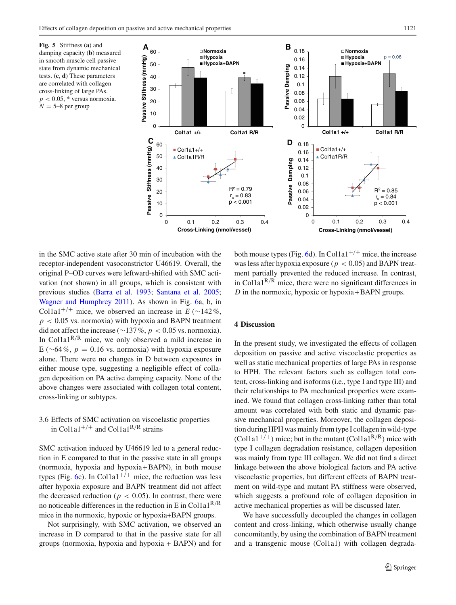<span id="page-6-0"></span>**Fig. 5** Stiffness (**a**) and damping capacity (**b**) measured in smooth muscle cell passive state from dynamic mechanical tests. (**c**, **d**) These parameters are correlated with collagen cross-linking of large PAs.  $p < 0.05$ , \* versus normoxia.  $N = 5-8$  per group



in the SMC active state after 30 min of incubation with the receptor-independent vasoconstrictor U46619. Overall, the original P–OD curves were leftward-shifted with SMC activation (not shown) in all groups, which is consistent with previous studies [\(Barra et al. 1993](#page-9-16); [Santana et al. 2005](#page-10-6); [Wagner and Humphrey 2011\)](#page-10-7). As shown in Fig. [6a](#page-7-0), b, in Col1a1<sup>+/+</sup> mice, we observed an increase in  $E (\sim 142\%$ ,  $p < 0.05$  vs. normoxia) with hypoxia and BAPN treatment did not affect the increase (∼137 %, *p* < 0.05 vs. normoxia). In Col1a1<sup>R/R</sup> mice, we only observed a mild increase in E ( $\sim$ 64 %,  $p = 0.16$  vs. normoxia) with hypoxia exposure alone. There were no changes in D between exposures in either mouse type, suggesting a negligible effect of collagen deposition on PA active damping capacity. None of the above changes were associated with collagen total content, cross-linking or subtypes.

# 3.6 Effects of SMC activation on viscoelastic properties in Col1a1<sup>+/+</sup> and Col1a1<sup>R/R</sup> strains

SMC activation induced by U46619 led to a general reduction in E compared to that in the passive state in all groups (normoxia, hypoxia and hypoxia + BAPN), in both mouse types (Fig. [6c](#page-7-0)). In Col1a1<sup>+/+</sup> mice, the reduction was less after hypoxia exposure and BAPN treatment did not affect the decreased reduction ( $p < 0.05$ ). In contrast, there were no noticeable differences in the reduction in E in Col1a1<sup>R/R</sup> mice in the normoxic, hypoxic or hypoxia+BAPN groups.

Not surprisingly, with SMC activation, we observed an increase in D compared to that in the passive state for all groups (normoxia, hypoxia and hypoxia + BAPN) and for

both mouse types (Fig. [6d](#page-7-0)). In Col1a1<sup>+/+</sup> mice, the increase was less after hypoxia exposure ( $p < 0.05$ ) and BAPN treatment partially prevented the reduced increase. In contrast, in Col1a1 $^{R/R}$  mice, there were no significant differences in *D* in the normoxic, hypoxic or hypoxia + BAPN groups.

## **4 Discussion**

In the present study, we investigated the effects of collagen deposition on passive and active viscoelastic properties as well as static mechanical properties of large PAs in response to HPH. The relevant factors such as collagen total content, cross-linking and isoforms (i.e., type I and type III) and their relationships to PA mechanical properties were examined. We found that collagen cross-linking rather than total amount was correlated with both static and dynamic passive mechanical properties. Moreover, the collagen deposition during HPH was mainly from type I collagen in wild-type (Col1a1<sup>+/+</sup>) mice; but in the mutant (Col1a1<sup>R/R</sup>) mice with type I collagen degradation resistance, collagen deposition was mainly from type III collagen. We did not find a direct linkage between the above biological factors and PA active viscoelastic properties, but different effects of BAPN treatment on wild-type and mutant PA stiffness were observed, which suggests a profound role of collagen deposition in active mechanical properties as will be discussed later.

We have successfully decoupled the changes in collagen content and cross-linking, which otherwise usually change concomitantly, by using the combination of BAPN treatment and a transgenic mouse (Col1a1) with collagen degrada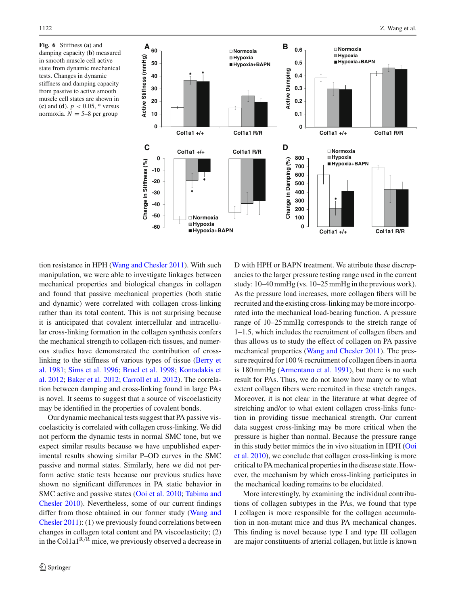<span id="page-7-0"></span>**Fig. 6** Stiffness (**a**) and damping capacity (**b**) measured in smooth muscle cell active state from dynamic mechanical tests. Changes in dynamic stiffness and damping capacity from passive to active smooth muscle cell states are shown in (**c**) and (**d**).  $p < 0.05$ , \* versus normoxia.  $N = 5-8$  per group



tion resistance in HPH [\(Wang and Chesler 2011\)](#page-10-4). With such manipulation, we were able to investigate linkages between mechanical properties and biological changes in collagen and found that passive mechanical properties (both static and dynamic) were correlated with collagen cross-linking rather than its total content. This is not surprising because it is anticipated that covalent intercellular and intracellular cross-linking formation in the collagen synthesis confers the mechanical strength to collagen-rich tissues, and numerous studies have demonstrated the contribution of crossli[nking](#page-9-17) [to](#page-9-17) [the](#page-9-17) [stiffness](#page-9-17) [of](#page-9-17) [various](#page-9-17) [types](#page-9-17) [of](#page-9-17) [tissue](#page-9-17) [\(](#page-9-17)Berry et al. [1981;](#page-9-17) [Sims et al. 1996;](#page-10-8) [Bruel et al. 1998](#page-9-18)[;](#page-9-19) Kontadakis et al. [2012;](#page-9-19) [Baker et al. 2012](#page-9-20); [Carroll et al. 2012](#page-9-21)). The correlation between damping and cross-linking found in large PAs is novel. It seems to suggest that a source of viscoelasticity may be identified in the properties of covalent bonds.

Our dynamic mechanical tests suggest that PA passive viscoelasticity is correlated with collagen cross-linking. We did not perform the dynamic tests in normal SMC tone, but we expect similar results because we have unpublished experimental results showing similar P–OD curves in the SMC passive and normal states. Similarly, here we did not perform active static tests because our previous studies have shown no significant differences in PA static behavior in SMC a[ctive](#page-10-9) [and](#page-10-9) [passive](#page-10-9) [states](#page-10-9) [\(Ooi et al. 2010](#page-10-3)[;](#page-10-9) Tabima and Chesler [2010](#page-10-9)). Nevertheless, some of our current findings differ f[rom](#page-10-4) [those](#page-10-4) [obtained](#page-10-4) [in](#page-10-4) [our](#page-10-4) [former](#page-10-4) [study](#page-10-4) [\(](#page-10-4)Wang and Chesler [2011](#page-10-4)): (1) we previously found correlations between changes in collagen total content and PA viscoelasticity; (2) in the Col1a1R/<sup>R</sup> mice, we previously observed a decrease in D with HPH or BAPN treatment. We attribute these discrepancies to the larger pressure testing range used in the current study: 10–40 mmHg (vs. 10–25 mmHg in the previous work). As the pressure load increases, more collagen fibers will be recruited and the existing cross-linking may be more incorporated into the mechanical load-bearing function. A pressure range of 10–25 mmHg corresponds to the stretch range of 1–1.5, which includes the recruitment of collagen fibers and thus allows us to study the effect of collagen on PA passive mechanical properties [\(Wang and Chesler 2011](#page-10-4)). The pressure required for 100 % recruitment of collagen fibers in aorta is 180 mmHg [\(Armentano et al. 1991](#page-9-22)), but there is no such result for PAs. Thus, we do not know how many or to what extent collagen fibers were recruited in these stretch ranges. Moreover, it is not clear in the literature at what degree of stretching and/or to what extent collagen cross-links function in providing tissue mechanical strength. Our current data suggest cross-linking may be more critical when the pressure is higher than normal. Because the pressure range in th[is](#page-10-3) [study](#page-10-3) [better](#page-10-3) [mimics](#page-10-3) [the](#page-10-3) [in](#page-10-3) [vivo](#page-10-3) [situation](#page-10-3) [in](#page-10-3) [HPH](#page-10-3) [\(](#page-10-3)Ooi et al. [2010](#page-10-3)), we conclude that collagen cross-linking is more critical to PA mechanical properties in the disease state. However, the mechanism by which cross-linking participates in the mechanical loading remains to be elucidated.

More interestingly, by examining the individual contributions of collagen subtypes in the PAs, we found that type I collagen is more responsible for the collagen accumulation in non-mutant mice and thus PA mechanical changes. This finding is novel because type I and type III collagen are major constituents of arterial collagen, but little is known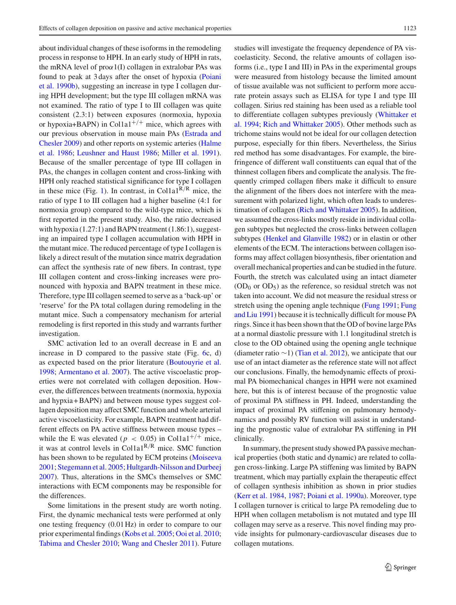about individual changes of these isoforms in the remodeling process in response to HPH. In an early study of HPH in rats, the mRNA level of  $prox1(I)$  collagen in extralobar PAs was foun[d](#page-10-1) [to](#page-10-1) [peak](#page-10-1) [at](#page-10-1) [3](#page-10-1) [days](#page-10-1) [after](#page-10-1) [the](#page-10-1) [onset](#page-10-1) [of](#page-10-1) [hypoxia](#page-10-1) [\(](#page-10-1)Poiani et al. [1990b](#page-10-1)), suggesting an increase in type I collagen during HPH development; but the type III collagen mRNA was not examined. The ratio of type I to III collagen was quite consistent (2.3:1) between exposures (normoxia, hypoxia or hypoxia+BAPN) in Col1a1<sup>+/+</sup> mice, which agrees with our pre[vious](#page-9-23) [observation](#page-9-23) [in](#page-9-23) [mouse](#page-9-23) [main](#page-9-23) [PAs](#page-9-23) [\(](#page-9-23)Estrada and Ches[ler](#page-9-24) [2009\)](#page-9-23) [and](#page-9-24) [other](#page-9-24) [reports](#page-9-24) [on](#page-9-24) [systemic](#page-9-24) [arteries](#page-9-24) [\(](#page-9-24)Halme et al. [1986;](#page-9-24) [Leushner and Haust 1986](#page-9-25); [Miller et al. 1991](#page-9-26)). Because of the smaller percentage of type III collagen in PAs, the changes in collagen content and cross-linking with HPH only reached statistical significance for type I collagen in these mice (Fig. [1\)](#page-4-0). In contrast, in Col1a1<sup>R/R</sup> mice, the ratio of type I to III collagen had a higher baseline (4:1 for normoxia group) compared to the wild-type mice, which is first reported in the present study. Also, the ratio decreased with hypoxia (1.27:1) and BAPN treatment (1.86:1), suggesting an impaired type I collagen accumulation with HPH in the mutant mice. The reduced percentage of type I collagen is likely a direct result of the mutation since matrix degradation can affect the synthesis rate of new fibers. In contrast, type III collagen content and cross-linking increases were pronounced with hypoxia and BAPN treatment in these mice. Therefore, type III collagen seemed to serve as a 'back-up' or 'reserve' for the PA total collagen during remodeling in the mutant mice. Such a compensatory mechanism for arterial remodeling is first reported in this study and warrants further investigation.

SMC activation led to an overall decrease in E and an increase in D compared to the passive state (Fig. [6c](#page-7-0), d) as expected based on the prior literature [\(Boutouyrie et al.](#page-9-27) [1998;](#page-9-27) [Armentano et al. 2007\)](#page-9-28). The active viscoelastic properties were not correlated with collagen deposition. However, the differences between treatments (normoxia, hypoxia and hypxia + BAPN) and between mouse types suggest collagen deposition may affect SMC function and whole arterial active viscoelasticity. For example, BAPN treatment had different effects on PA active stiffness between mouse types – while the E was elevated ( $p < 0.05$ ) in Col1a1<sup>+/+</sup> mice, it was at control levels in Col1a1<sup>R/R</sup> mice. SMC function has been shown to be regulated by ECM proteins [\(Moiseeva](#page-9-29) [2001;](#page-9-29) [Stegemann et al. 2005;](#page-10-10) [Hultgardh-Nilsson and Durbeej](#page-9-30) [2007\)](#page-9-30). Thus, alterations in the SMCs themselves or SMC interactions with ECM components may be responsible for the differences.

Some limitations in the present study are worth noting. First, the dynamic mechanical tests were performed at only one testing frequency (0.01 Hz) in order to compare to our prior experimental findings [\(Kobs et al. 2005](#page-9-5); [Ooi et al. 2010](#page-10-3); [Tabima and Chesler 2010](#page-10-9); [Wang and Chesler 2011\)](#page-10-4). Future studies will investigate the frequency dependence of PA viscoelasticity. Second, the relative amounts of collagen isoforms (i.e., type I and III) in PAs in the experimental groups were measured from histology because the limited amount of tissue available was not sufficient to perform more accurate protein assays such as ELISA for type I and type III collagen. Sirius red staining has been used as a reliable tool to [differentiate](#page-10-11) [collagen](#page-10-11) [subtypes](#page-10-11) [previously](#page-10-11) [\(](#page-10-11)Whittaker et al. [1994](#page-10-11); [Rich and Whittaker 2005\)](#page-10-12). Other methods such as trichome stains would not be ideal for our collagen detection purpose, especially for thin fibers. Nevertheless, the Sirius red method has some disadvantages. For example, the birefringence of different wall constituents can equal that of the thinnest collagen fibers and complicate the analysis. The frequently crimped collagen fibers make it difficult to ensure the alignment of the fibers does not interfere with the measurement with polarized light, which often leads to underestimation of collagen [\(Rich and Whittaker 2005\)](#page-10-12). In addition, we assumed the cross-links mostly reside in individual collagen subtypes but neglected the cross-links between collagen subtypes [\(Henkel and Glanville 1982\)](#page-9-31) or in elastin or other elements of the ECM. The interactions between collagen isoforms may affect collagen biosynthesis, fiber orientation and overall mechanical properties and can be studied in the future. Fourth, the stretch was calculated using an intact diameter  $(OD<sub>0</sub>$  or  $OD<sub>5</sub>)$  as the reference, so residual stretch was not taken into account. We did not measure the residual stress or stretch [using](#page-9-33) [the](#page-9-33) [opening](#page-9-33) [angle](#page-9-33) [technique](#page-9-33) [\(Fung 1991](#page-9-32)[;](#page-9-33) Fung and Liu [1991\)](#page-9-33) because it is technically difficult for mouse PA rings. Since it has been shown that the OD of bovine large PAs at a normal diastolic pressure with 1.1 longitudinal stretch is close to the OD obtained using the opening angle technique (diameter ratio  $\sim$ 1) [\(Tian et al. 2012\)](#page-10-13), we anticipate that our use of an intact diameter as the reference state will not affect our conclusions. Finally, the hemodynamic effects of proximal PA biomechanical changes in HPH were not examined here, but this is of interest because of the prognostic value of proximal PA stiffness in PH. Indeed, understanding the impact of proximal PA stiffening on pulmonary hemodynamics and possibly RV function will assist in understanding the prognostic value of extralobar PA stiffening in PH clinically.

In summary, the present study showed PA passive mechanical properties (both static and dynamic) are related to collagen cross-linking. Large PA stiffening was limited by BAPN treatment, which may partially explain the therapeutic effect of collagen synthesis inhibition as shown in prior studies [\(Kerr et al. 1984](#page-9-34), [1987](#page-9-35); [Poiani et al. 1990a](#page-10-14)). Moreover, type I collagen turnover is critical to large PA remodeling due to HPH when collagen metabolism is not mutated and type III collagen may serve as a reserve. This novel finding may provide insights for pulmonary-cardiovascular diseases due to collagen mutations.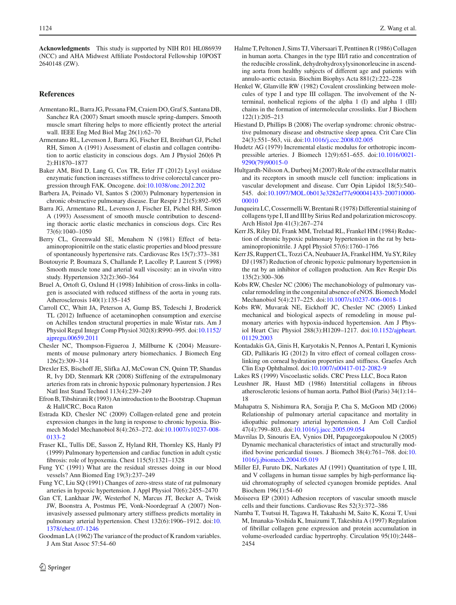**Acknowledgments** This study is supported by NIH R01 HL086939 (NCC) and AHA Midwest Affiliate Postdoctoral Fellowship 10POST 2640148 (ZW).

#### **References**

- <span id="page-9-28"></span>Armentano RL, Barra JG, Pessana FM, Craiem DO, Graf S, Santana DB, Sanchez RA (2007) Smart smooth muscle spring-dampers. Smooth muscle smart filtering helps to more efficiently protect the arterial wall. IEEE Eng Med Biol Mag 26(1):62–70
- <span id="page-9-22"></span>Armentano RL, Levenson J, Barra JG, Fischer EI, Breitbart GJ, Pichel RH, Simon A (1991) Assessment of elastin and collagen contribution to aortic elasticity in conscious dogs. Am J Physiol 260(6 Pt 2):H1870–1877
- <span id="page-9-20"></span>Baker AM, Bird D, Lang G, Cox TR, Erler JT (2012) Lysyl oxidase enzymatic function increases stiffness to drive colorectal cancer progression through FAK. Oncogene. doi[:10.1038/onc.2012.202](http://dx.doi.org/10.1038/onc.2012.202)
- <span id="page-9-0"></span>Barbera JA, Peinado VI, Santos S (2003) Pulmonary hypertension in chronic obstructive pulmonary disease. Eur Respir J 21(5):892–905
- <span id="page-9-16"></span>Barra JG, Armentano RL, Levenson J, Fischer EI, Pichel RH, Simon A (1993) Assessment of smooth muscle contribution to descending thoracic aortic elastic mechanics in conscious dogs. Circ Res 73(6):1040–1050
- <span id="page-9-17"></span>Berry CL, Greenwald SE, Menahem N (1981) Effect of betaaminopropionitrile on the static elastic properties and blood pressure of spontaneously hypertensive rats. Cardiovasc Res 15(7):373–381
- <span id="page-9-27"></span>Boutouyrie P, Boumaza S, Challande P, Lacolley P, Laurent S (1998) Smooth muscle tone and arterial wall viscosity: an in vivo/in vitro study. Hypertension 32(2):360–364
- <span id="page-9-18"></span>Bruel A, Ortoft G, Oxlund H (1998) Inhibition of cross-links in collagen is associated with reduced stiffness of the aorta in young rats. Atherosclerosis 140(1):135–145
- <span id="page-9-21"></span>Carroll CC, Whitt JA, Peterson A, Gump BS, Tedeschi J, Broderick TL (2012) Influence of acetaminophen consumption and exercise on Achilles tendon structural properties in male Wistar rats. Am J Physiol Regul Integr Comp Physiol 302(8):R990–995. doi[:10.1152/](http://dx.doi.org/10.1152/ajpregu.00659.2011) [ajpregu.00659.2011](http://dx.doi.org/10.1152/ajpregu.00659.2011)
- <span id="page-9-10"></span>Chesler NC, Thompson-Figueroa J, Millburne K (2004) Measurements of mouse pulmonary artery biomechanics. J Biomech Eng 126(2):309–314
- <span id="page-9-7"></span>Drexler ES, Bischoff JE, Slifka AJ, McCowan CN, Quinn TP, Shandas R, Ivy DD, Stenmark KR (2008) Stiffening of the extrapulmonary arteries from rats in chronic hypoxic pulmonary hypertension. J Res Natl Inst Stand Technol 113(4):239–249
- <span id="page-9-15"></span>Efron B, Tibshirani R (1993) An introduction to the Bootstrap. Chapman & Hall/CRC, Boca Raton
- <span id="page-9-23"></span>Estrada KD, Chesler NC (2009) Collagen-related gene and protein expression changes in the lung in response to chronic hypoxia. Biomech Model Mechanobiol 8(4):263–272. doi[:10.1007/s10237-008-](http://dx.doi.org/10.1007/s10237-008-0133-2) [0133-2](http://dx.doi.org/10.1007/s10237-008-0133-2)
- <span id="page-9-1"></span>Fraser KL, Tullis DE, Sasson Z, Hyland RH, Thornley KS, Hanly PJ (1999) Pulmonary hypertension and cardiac function in adult cystic fibrosis: role of hypoxemia. Chest 115(5):1321–1328
- <span id="page-9-32"></span>Fung YC (1991) What are the residual stresses doing in our blood vessels? Ann Biomed Eng 19(3):237–249
- <span id="page-9-33"></span>Fung YC, Liu SQ (1991) Changes of zero-stress state of rat pulmonary arteries in hypoxic hypertension. J Appl Physiol 70(6):2455–2470
- <span id="page-9-4"></span>Gan CT, Lankhaar JW, Westerhof N, Marcus JT, Becker A, Twisk JW, Boonstra A, Postmus PE, Vonk-Noordegraaf A (2007) Noninvasively assessed pulmonary artery stiffness predicts mortality in pulmonary arterial hypertension. Chest 132(6):1906–1912. doi[:10.](http://dx.doi.org/10.1378/chest.07-1246) [1378/chest.07-1246](http://dx.doi.org/10.1378/chest.07-1246)
- <span id="page-9-14"></span>Goodman LA (1962) The variance of the product of K random variables. J Am Stat Assoc 57:54–60
- <span id="page-9-24"></span>Halme T, Peltonen J, Sims TJ, Vihersaari T, Penttinen R (1986) Collagen in human aorta. Changes in the type III/I ratio and concentration of the reducible crosslink, dehydrohydroxylysinonorleucine in ascending aorta from healthy subjects of different age and patients with annulo-aortic ectasia. Biochim Biophys Acta 881(2):222–228
- <span id="page-9-31"></span>Henkel W, Glanville RW (1982) Covalent crosslinking between molecules of type I and type III collagen. The involvement of the Nterminal, nonhelical regions of the alpha 1 (I) and alpha 1 (III) chains in the formation of intermolecular crosslinks. Eur J Biochem 122(1):205–213
- <span id="page-9-2"></span>Hiestand D, Phillips B (2008) The overlap syndrome: chronic obstructive pulmonary disease and obstructive sleep apnea. Crit Care Clin 24(3):551–563, vii. doi[:10.1016/j.ccc.2008.02.005](http://dx.doi.org/10.1016/j.ccc.2008.02.005)
- <span id="page-9-11"></span>Hudetz AG (1979) Incremental elastic modulus for orthotropic incompressible arteries. J Biomech 12(9):651–655. doi[:10.1016/0021-](http://dx.doi.org/10.1016/0021-9290(79)90015-0) [9290\(79\)90015-0](http://dx.doi.org/10.1016/0021-9290(79)90015-0)
- <span id="page-9-30"></span>Hultgardh-Nilsson A, Durbeej M (2007) Role of the extracellular matrix and its receptors in smooth muscle cell function: implications in vascular development and disease. Curr Opin Lipidol 18(5):540– 545. doi[:10.1097/MOL.0b013e3282ef77e900041433-200710000-](http://dx.doi.org/10.1097/MOL.0b013e3282ef77e900041433-200710000-00010) [00010](http://dx.doi.org/10.1097/MOL.0b013e3282ef77e900041433-200710000-00010)
- <span id="page-9-12"></span>Junqueira LC, Cossermelli W, Brentani R (1978) Differential staining of collagens type I, II and III by Sirius Red and polarization microscopy. Arch Histol Jpn 41(3):267–274
- <span id="page-9-34"></span>Kerr JS, Riley DJ, Frank MM, Trelstad RL, Frankel HM (1984) Reduction of chronic hypoxic pulmonary hypertension in the rat by betaaminopropionitrile. J Appl Physiol 57(6):1760–1766
- <span id="page-9-35"></span>Kerr JS, Ruppert CL, Tozzi CA, Neubauer JA, Frankel HM, Yu SY, Riley DJ (1987) Reduction of chronic hypoxic pulmonary hypertension in the rat by an inhibitor of collagen production. Am Rev Respir Dis 135(2):300–306
- <span id="page-9-6"></span>Kobs RW, Chesler NC (2006) The mechanobiology of pulmonary vascular remodeling in the congenital absence of eNOS. Biomech Model Mechanobiol 5(4):217–225. doi[:10.1007/s10237-006-0018-1](http://dx.doi.org/10.1007/s10237-006-0018-1)
- <span id="page-9-5"></span>Kobs RW, Muvarak NE, Eickhoff JC, Chesler NC (2005) Linked mechanical and biological aspects of remodeling in mouse pulmonary arteries with hypoxia-induced hypertension. Am J Physiol Heart Circ Physiol 288(3):H1209–1217. doi[:10.1152/ajpheart.](http://dx.doi.org/10.1152/ajpheart.01129.2003) [01129.2003](http://dx.doi.org/10.1152/ajpheart.01129.2003)
- <span id="page-9-19"></span>Kontadakis GA, Ginis H, Karyotakis N, Pennos A, Pentari I, Kymionis GD, Pallikaris IG (2012) In vitro effect of corneal collagen crosslinking on corneal hydration properties and stiffness. Graefes Arch Clin Exp Ophthalmol. doi[:10.1007/s00417-012-2082-9](http://dx.doi.org/10.1007/s00417-012-2082-9)
- <span id="page-9-8"></span>Lakes RS (1999) Viscoelastic solids. CRC Press LLC, Boca Raton
- <span id="page-9-25"></span>Leushner JR, Haust MD (1986) Interstitial collagens in fibrous atherosclerotic lesions of human aorta. Pathol Biol (Paris) 34(1):14– 18
- <span id="page-9-3"></span>Mahapatra S, Nishimura RA, Sorajja P, Cha S, McGoon MD (2006) Relationship of pulmonary arterial capacitance and mortality in idiopathic pulmonary arterial hypertension. J Am Coll Cardiol 47(4):799–803. doi[:10.1016/j.jacc.2005.09.054](http://dx.doi.org/10.1016/j.jacc.2005.09.054)
- <span id="page-9-9"></span>Mavrilas D, Sinouris EA, Vynios DH, Papageorgakopoulou N (2005) Dynamic mechanical characteristics of intact and structurally modified bovine pericardial tissues. J Biomech 38(4):761–768. doi[:10.](http://dx.doi.org/10.1016/j.jbiomech.2004.05.019) [1016/j.jbiomech.2004.05.019](http://dx.doi.org/10.1016/j.jbiomech.2004.05.019)
- <span id="page-9-26"></span>Miller EJ, Furuto DK, Narkates AJ (1991) Quantitation of type I, III, and V collagens in human tissue samples by high-performance liquid chromatography of selected cyanogen bromide peptides. Anal Biochem 196(1):54–60
- <span id="page-9-29"></span>Moiseeva EP (2001) Adhesion receptors of vascular smooth muscle cells and their functions. Cardiovasc Res 52(3):372–386
- <span id="page-9-13"></span>Namba T, Tsutsui H, Tagawa H, Takahashi M, Saito K, Kozai T, Usui M, Imanaka-Yoshida K, Imaizumi T, Takeshita A (1997) Regulation of fibrillar collagen gene expression and protein accumulation in volume-overloaded cardiac hypertrophy. Circulation 95(10):2448– 2454